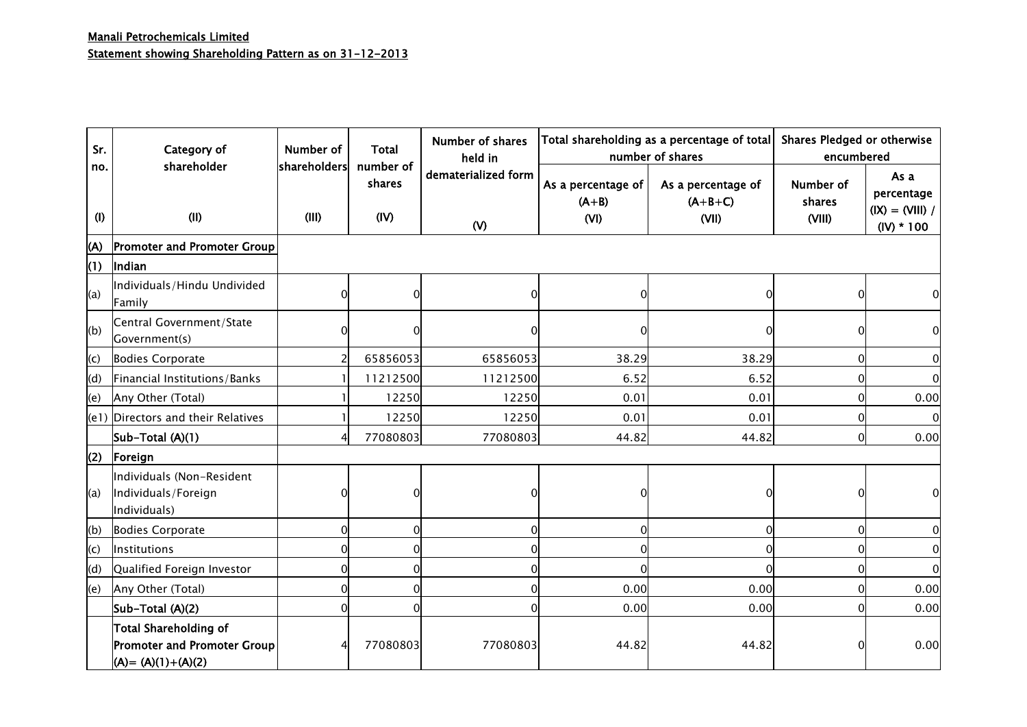| Sr.            | Category of<br>shareholder                                                    | Number of             | Total<br>number of | <b>Number of shares</b><br>held in  |                                       | Total shareholding as a percentage of total<br>number of shares | <b>Shares Pledged or otherwise</b><br>encumbered |                                                         |  |
|----------------|-------------------------------------------------------------------------------|-----------------------|--------------------|-------------------------------------|---------------------------------------|-----------------------------------------------------------------|--------------------------------------------------|---------------------------------------------------------|--|
| no.<br>(1)     | (II)                                                                          | shareholders<br>(III) | shares<br>(IV)     | dematerialized form<br>$\mathsf{W}$ | As a percentage of<br>$(A+B)$<br>(VI) | As a percentage of<br>$(A+B+C)$<br>(VII)                        | Number of<br>shares<br>(VIII)                    | As a<br>percentage<br>$(IX) = (VIII) /$<br>$(IV) * 100$ |  |
| (A)            | <b>Promoter and Promoter Group</b>                                            |                       |                    |                                     |                                       |                                                                 |                                                  |                                                         |  |
| (1)            | Indian                                                                        |                       |                    |                                     |                                       |                                                                 |                                                  |                                                         |  |
| (a)            | Individuals/Hindu Undivided<br>Family                                         |                       | 0                  | O                                   | $\Omega$                              | $\Omega$                                                        | 0                                                | 0                                                       |  |
| (b)            | Central Government/State<br>Government(s)                                     |                       |                    |                                     |                                       | 0                                                               | 0                                                | 0                                                       |  |
| $\mathsf{(c)}$ | <b>Bodies Corporate</b>                                                       |                       | 65856053           | 65856053                            | 38.29                                 | 38.29                                                           | 0                                                | $\overline{0}$                                          |  |
| (d)            | Financial Institutions/Banks                                                  |                       | 11212500           | 11212500                            | 6.52                                  | 6.52                                                            | 0                                                | $\overline{0}$                                          |  |
| (e)            | Any Other (Total)                                                             |                       | 12250              | 12250                               | 0.01                                  | 0.01                                                            | 0                                                | 0.00                                                    |  |
|                | (e1) Directors and their Relatives                                            |                       | 12250              | 12250                               | 0.01                                  | 0.01                                                            | <sub>0</sub>                                     | $\Omega$                                                |  |
|                | Sub-Total (A)(1)                                                              |                       | 77080803           | 77080803                            | 44.82                                 | 44.82                                                           | 0                                                | 0.00                                                    |  |
| (2)            | Foreign                                                                       |                       |                    |                                     |                                       |                                                                 |                                                  |                                                         |  |
| (a)            | Individuals (Non-Resident<br>Individuals/Foreign<br>Individuals)              |                       |                    |                                     |                                       | $\Omega$                                                        | 0                                                |                                                         |  |
| (b)            | <b>Bodies Corporate</b>                                                       | $\overline{0}$        | $\Omega$           | 0                                   | $\Omega$                              | $\Omega$                                                        | $\Omega$                                         | $\overline{0}$                                          |  |
| (c)            | Institutions                                                                  | $\mathbf 0$           | 0                  | 0                                   | $\Omega$                              | $\Omega$                                                        | 0                                                | $\mathbf 0$                                             |  |
| (d)            | Qualified Foreign Investor                                                    | 0                     | $\Omega$           | 0                                   | 0                                     | $\Omega$                                                        | O                                                | $\overline{0}$                                          |  |
| (e)            | Any Other (Total)                                                             | 0                     | $\Omega$           | 0                                   | 0.00                                  | 0.00                                                            | $\Omega$                                         | 0.00                                                    |  |
|                | Sub-Total (A)(2)                                                              | 0                     | $\Omega$           | 0                                   | 0.00                                  | 0.00                                                            | $\Omega$                                         | 0.00                                                    |  |
|                | Total Shareholding of<br>Promoter and Promoter Group<br>$(A) = (A)(1)+(A)(2)$ |                       | 77080803           | 77080803                            | 44.82                                 | 44.82                                                           |                                                  | 0.00                                                    |  |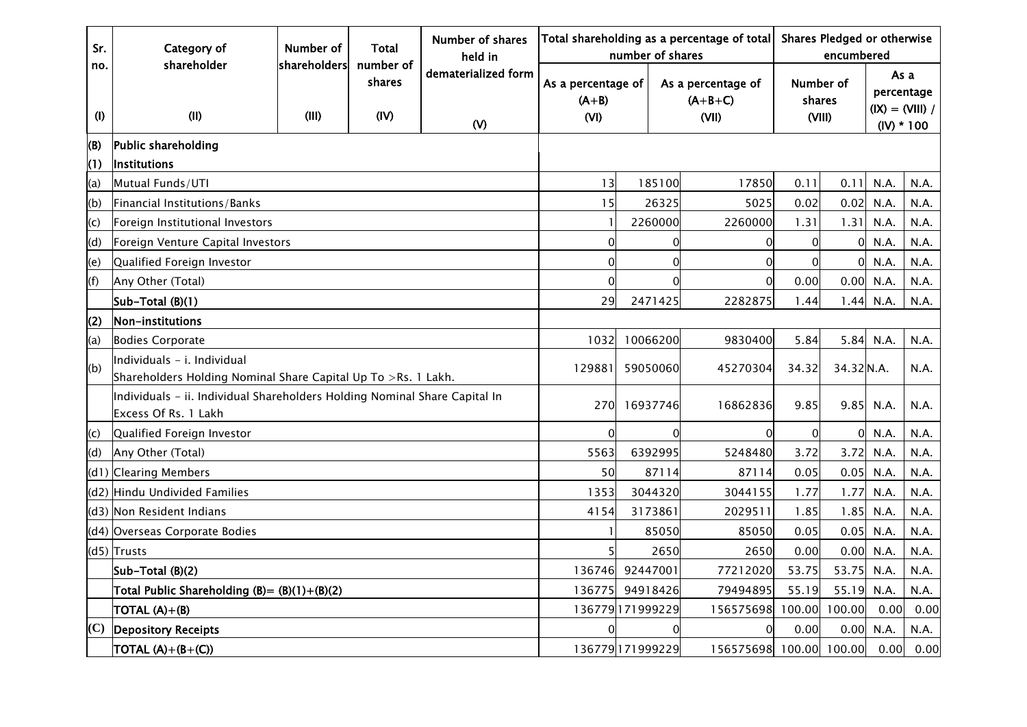| Sr.        | Category of                                                                                        | Number of             | Total                       | <b>Number of shares</b><br>held in  |                                       | number of shares | Total shareholding as a percentage of total | Shares Pledged or otherwise<br>encumbered |                               |      |                                                         |
|------------|----------------------------------------------------------------------------------------------------|-----------------------|-----------------------------|-------------------------------------|---------------------------------------|------------------|---------------------------------------------|-------------------------------------------|-------------------------------|------|---------------------------------------------------------|
| no.<br>(1) | shareholder<br>(II)                                                                                | shareholders<br>(III) | number of<br>shares<br>(IV) | dematerialized form<br>$\mathsf{W}$ | As a percentage of<br>$(A+B)$<br>(VI) |                  | As a percentage of<br>$(A+B+C)$<br>(VII)    |                                           | Number of<br>shares<br>(VIII) |      | As a<br>percentage<br>$(IX) = (VIII) /$<br>$(IV) * 100$ |
| (B)<br>(1) | Public shareholding<br><b>Institutions</b>                                                         |                       |                             |                                     |                                       |                  |                                             |                                           |                               |      |                                                         |
| (a)        | Mutual Funds/UTI                                                                                   |                       |                             |                                     | 13                                    | 185100           | 17850                                       | 0.11                                      | 0.11                          | N.A. | N.A.                                                    |
| (b)        | Financial Institutions/Banks                                                                       |                       |                             |                                     | 15                                    | 26325            | 5025                                        | 0.02                                      | 0.02                          | N.A. | N.A.                                                    |
| (c)        | Foreign Institutional Investors                                                                    |                       |                             |                                     |                                       | 2260000          | 2260000                                     | 1.31                                      | 1.31                          | N.A. | N.A.                                                    |
| (d)        | Foreign Venture Capital Investors                                                                  |                       |                             |                                     | $\Omega$                              |                  | 0<br>$\Omega$                               | 0                                         |                               | N.A. | N.A.                                                    |
| (e)        | Qualified Foreign Investor                                                                         |                       |                             |                                     | $\Omega$                              |                  | $\Omega$<br>$\Omega$                        | $\Omega$                                  | $\Omega$                      | N.A. | N.A.                                                    |
| (f)        | Any Other (Total)                                                                                  |                       |                             |                                     | $\Omega$                              |                  | 0                                           | 0.00                                      | 0.00                          | N.A. | N.A.                                                    |
|            | Sub-Total (B)(1)                                                                                   |                       |                             | 29                                  | 2471425                               | 2282875          | 1.44                                        | 1.44                                      | N.A.                          | N.A. |                                                         |
| (2)        | Non-institutions                                                                                   |                       |                             |                                     |                                       |                  |                                             |                                           |                               |      |                                                         |
| (a)        | <b>Bodies Corporate</b>                                                                            | 1032                  | 10066200                    | 9830400                             | 5.84                                  | 5.84             | N.A.                                        | N.A.                                      |                               |      |                                                         |
| (b)        | Individuals - i. Individual<br>Shareholders Holding Nominal Share Capital Up To >Rs. 1 Lakh.       |                       | 129881                      | 59050060                            | 45270304                              | 34.32            | 34.32 N.A.                                  |                                           | N.A.                          |      |                                                         |
|            | Individuals - ii. Individual Shareholders Holding Nominal Share Capital In<br>Excess Of Rs. 1 Lakh |                       |                             |                                     | 270                                   | 16937746         | 16862836                                    | 9.85                                      | 9.85                          | N.A. | N.A.                                                    |
| (c)        | Qualified Foreign Investor                                                                         |                       |                             |                                     | $\Omega$                              |                  | $\Omega$<br>$\Omega$                        | $\Omega$                                  | $\Omega$                      | N.A. | N.A.                                                    |
| (d)        | Any Other (Total)                                                                                  |                       |                             |                                     | 5563                                  | 6392995          | 5248480                                     | 3.72                                      | 3.72                          | N.A. | N.A.                                                    |
|            | (d1) Clearing Members                                                                              |                       |                             |                                     | 50                                    | 87114            | 87114                                       | 0.05                                      | 0.05                          | N.A. | N.A.                                                    |
|            | (d2) Hindu Undivided Families                                                                      |                       |                             |                                     | 1353                                  | 3044320          | 3044155                                     | 1.77                                      | 1.77                          | N.A. | N.A.                                                    |
|            | (d3) Non Resident Indians                                                                          |                       |                             |                                     | 4154                                  | 3173861          | 2029511                                     | 1.85                                      | 1.85                          | N.A. | N.A.                                                    |
|            | (d4) Overseas Corporate Bodies                                                                     |                       |                             |                                     |                                       | 85050            | 85050                                       | 0.05                                      | 0.05                          | N.A. | N.A.                                                    |
|            | $(d5)$ Trusts                                                                                      |                       |                             |                                     |                                       | 2650             | 2650                                        | 0.00                                      | 0.00                          | N.A. | N.A.                                                    |
|            | Sub-Total (B)(2)                                                                                   |                       |                             |                                     | 136746                                | 92447001         | 77212020                                    | 53.75                                     | 53.75                         | N.A. | N.A.                                                    |
|            | Total Public Shareholding $(B) = (B)(1)+(B)(2)$                                                    | 136775                | 94918426                    | 79494895                            | 55.19                                 | 55.19            | N.A.                                        | N.A.                                      |                               |      |                                                         |
|            | TOTAL (A)+(B)                                                                                      |                       |                             |                                     |                                       | 136779171999229  | 156575698                                   | 100.00                                    | 100.00                        | 0.00 | 0.00                                                    |
| (C)        | <b>Depository Receipts</b>                                                                         |                       |                             |                                     |                                       |                  |                                             | 0.00                                      | 0.00                          | N.A. | N.A.                                                    |
|            | $\overline{\text{TOTAL (A)+(B+(C))}}$                                                              |                       |                             |                                     |                                       | 136779171999229  | 156575698 100.00 100.00                     |                                           |                               | 0.00 | 0.00                                                    |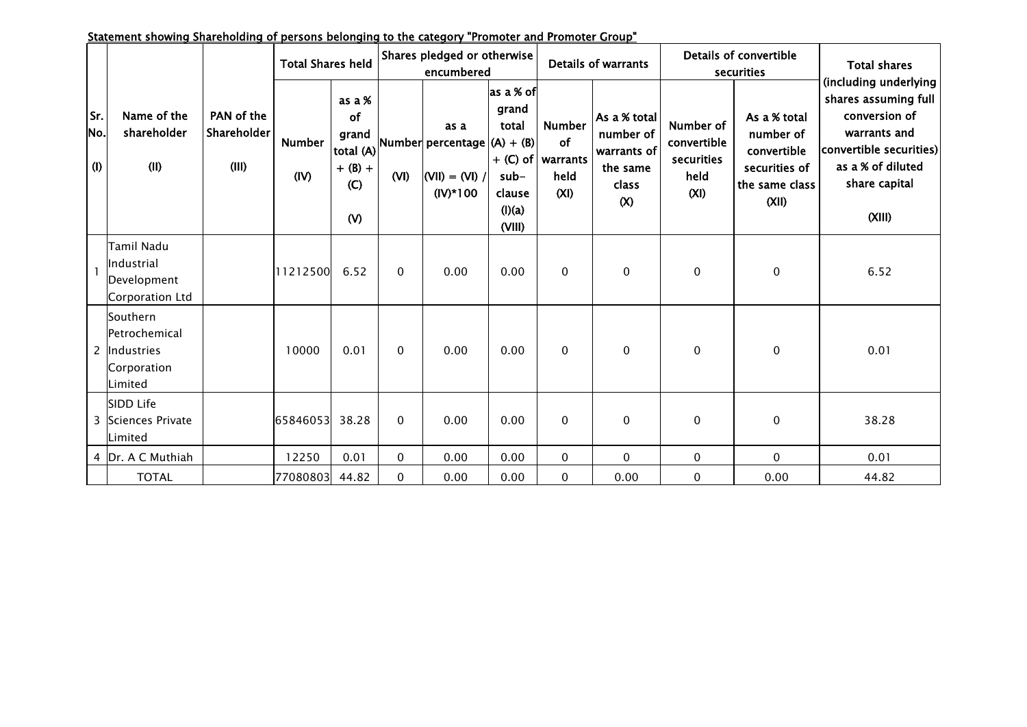| Statement showing Shareholding of persons belonging to the category "Promoter and Promoter Group" |
|---------------------------------------------------------------------------------------------------|
|---------------------------------------------------------------------------------------------------|

|                   |                                                                     | PAN of the<br>Shareholder<br>(III) | <b>Total Shares held</b> |                                                  | Shares pledged or otherwise<br>encumbered |                                                                                                                     |                                                                   | <b>Details of warrants</b>                                 |                                                                      | Details of convertible<br>securities                   |                                                                                      | <b>Total shares</b>                                                                                                                                       |  |
|-------------------|---------------------------------------------------------------------|------------------------------------|--------------------------|--------------------------------------------------|-------------------------------------------|---------------------------------------------------------------------------------------------------------------------|-------------------------------------------------------------------|------------------------------------------------------------|----------------------------------------------------------------------|--------------------------------------------------------|--------------------------------------------------------------------------------------|-----------------------------------------------------------------------------------------------------------------------------------------------------------|--|
| Sr.<br>No.<br>(1) | Name of the<br>shareholder<br>(11)                                  |                                    | <b>Number</b><br>(IV)    | as a %<br>of<br>$+ (B) +$<br>(C)<br>$\mathsf{W}$ | (VI)                                      | as a<br>$\left \text{total (A)}\right $ Number percentage $\left (A) + (B)\right $<br>$ (VII) = (VI)$<br>$(IV)*100$ | as a % of<br>grand<br>total<br>sub-<br>clause<br>(I)(a)<br>(VIII) | <b>Number</b><br>of<br>$+$ (C) of warrants<br>held<br>(XI) | As a % total<br>number of<br>warrants of<br>the same<br>class<br>(X) | Number of<br>convertible<br>securities<br>held<br>(XI) | As a % total<br>number of<br>convertible<br>securities of<br>the same class<br>(XII) | (including underlying<br>shares assuming full<br>conversion of<br>warrants and<br>convertible securities)<br>as a % of diluted<br>share capital<br>(XIII) |  |
|                   | Tamil Nadu<br><b>Industrial</b><br>Development<br>Corporation Ltd   |                                    | 11212500                 | 6.52                                             | $\Omega$                                  | 0.00                                                                                                                | 0.00                                                              | $\mathbf{0}$                                               | $\mathbf 0$                                                          | $\mathbf 0$                                            | 0                                                                                    | 6.52                                                                                                                                                      |  |
|                   | Southern<br>Petrochemical<br>2 Industries<br>Corporation<br>Limited |                                    | 10000                    | 0.01                                             | $\Omega$                                  | 0.00                                                                                                                | 0.00                                                              | $\mathbf{0}$                                               | $\mathbf{0}$                                                         | $\mathbf{0}$                                           | 0                                                                                    | 0.01                                                                                                                                                      |  |
|                   | SIDD Life<br>3 Sciences Private<br><b>Limited</b>                   |                                    | 65846053                 | 38.28                                            | $\Omega$                                  | 0.00                                                                                                                | 0.00                                                              | $\mathbf{0}$                                               | $\mathbf 0$                                                          | $\mathbf 0$                                            | $\pmb{0}$                                                                            | 38.28                                                                                                                                                     |  |
|                   | 4 Dr. A C Muthiah                                                   |                                    | 12250                    | 0.01                                             | 0                                         | 0.00                                                                                                                | 0.00                                                              | $\mathbf 0$                                                | $\mathbf 0$                                                          | 0                                                      | 0                                                                                    | 0.01                                                                                                                                                      |  |
|                   | <b>TOTAL</b>                                                        |                                    | 77080803                 | 44.82                                            | 0                                         | 0.00                                                                                                                | 0.00                                                              | $\mathbf 0$                                                | 0.00                                                                 | $\mathbf 0$                                            | 0.00                                                                                 | 44.82                                                                                                                                                     |  |